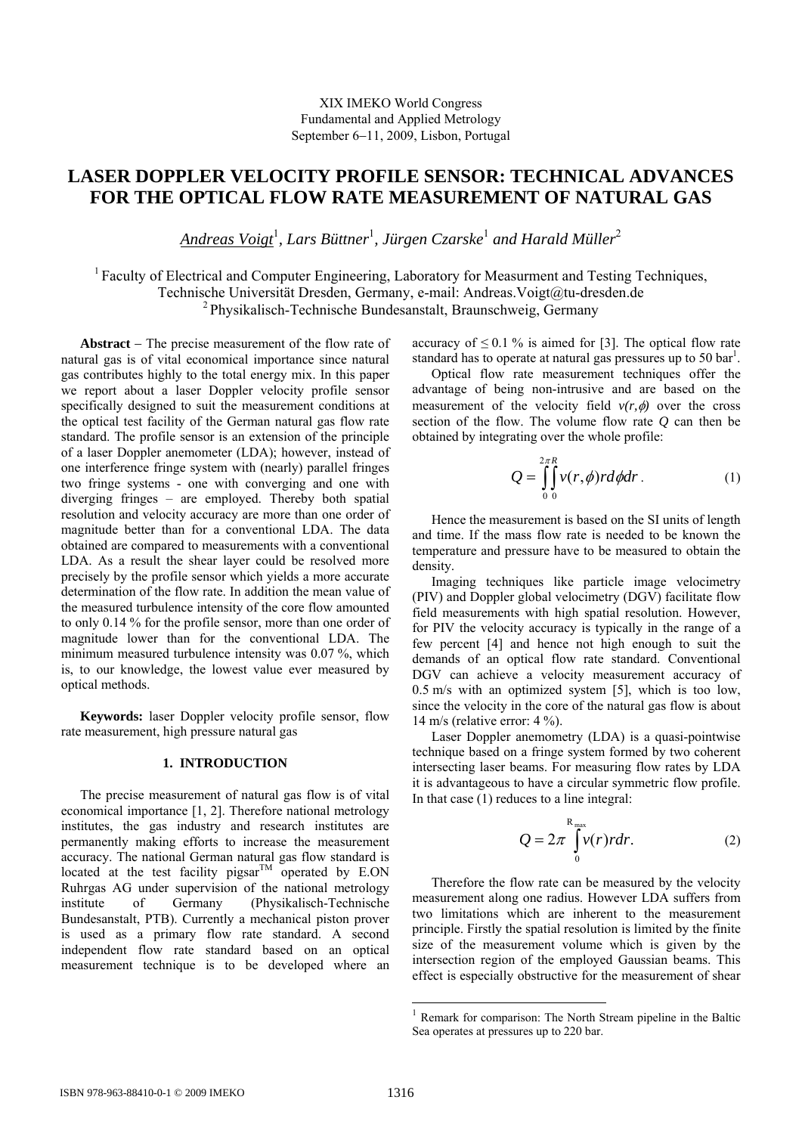# **LASER DOPPLER VELOCITY PROFILE SENSOR: TECHNICAL ADVANCES FOR THE OPTICAL FLOW RATE MEASUREMENT OF NATURAL GAS**

*Andreas Voigt*<sup>1</sup> *, Lars Büttner*<sup>1</sup> *, Jürgen Czarske*<sup>1</sup>  *and Harald Müller*<sup>2</sup>

<sup>1</sup> Faculty of Electrical and Computer Engineering, Laboratory for Measurment and Testing Techniques, Technische Universität Dresden, Germany, e-mail: Andreas.Voigt@tu-dresden.de 2 Physikalisch-Technische Bundesanstalt, Braunschweig, Germany

**Abstract** − The precise measurement of the flow rate of natural gas is of vital economical importance since natural gas contributes highly to the total energy mix. In this paper we report about a laser Doppler velocity profile sensor specifically designed to suit the measurement conditions at the optical test facility of the German natural gas flow rate standard. The profile sensor is an extension of the principle of a laser Doppler anemometer (LDA); however, instead of one interference fringe system with (nearly) parallel fringes two fringe systems - one with converging and one with diverging fringes – are employed. Thereby both spatial resolution and velocity accuracy are more than one order of magnitude better than for a conventional LDA. The data obtained are compared to measurements with a conventional LDA. As a result the shear layer could be resolved more precisely by the profile sensor which yields a more accurate determination of the flow rate. In addition the mean value of the measured turbulence intensity of the core flow amounted to only 0.14 % for the profile sensor, more than one order of magnitude lower than for the conventional LDA. The minimum measured turbulence intensity was 0.07 %, which is, to our knowledge, the lowest value ever measured by optical methods.

**Keywords:** laser Doppler velocity profile sensor, flow rate measurement, high pressure natural gas

# **1. INTRODUCTION**

The precise measurement of natural gas flow is of vital economical importance [1, 2]. Therefore national metrology institutes, the gas industry and research institutes are permanently making efforts to increase the measurement accuracy. The national German natural gas flow standard is located at the test facility pigsar<sup>TM</sup> operated by E.ON Ruhrgas AG under supervision of the national metrology institute of Germany (Physikalisch-Technische Bundesanstalt, PTB). Currently a mechanical piston prover is used as a primary flow rate standard. A second independent flow rate standard based on an optical measurement technique is to be developed where an accuracy of  $\leq 0.1$  % is aimed for [3]. The optical flow rate standard has to operate at natural gas pressures up to 50  $bar<sup>1</sup>$ .

Optical flow rate measurement techniques offer the advantage of being non-intrusive and are based on the measurement of the velocity field  $v(r, \phi)$  over the cross section of the flow. The volume flow rate *Q* can then be obtained by integrating over the whole profile:

$$
Q = \int_{0}^{2\pi R} \int_{0}^{R} v(r,\phi) r d\phi dr
$$
 (1)

Hence the measurement is based on the SI units of length and time. If the mass flow rate is needed to be known the temperature and pressure have to be measured to obtain the density.

Imaging techniques like particle image velocimetry (PIV) and Doppler global velocimetry (DGV) facilitate flow field measurements with high spatial resolution. However, for PIV the velocity accuracy is typically in the range of a few percent [4] and hence not high enough to suit the demands of an optical flow rate standard. Conventional DGV can achieve a velocity measurement accuracy of 0.5 m/s with an optimized system [5], which is too low, since the velocity in the core of the natural gas flow is about 14 m/s (relative error: 4 %).

Laser Doppler anemometry (LDA) is a quasi-pointwise technique based on a fringe system formed by two coherent intersecting laser beams. For measuring flow rates by LDA it is advantageous to have a circular symmetric flow profile. In that case (1) reduces to a line integral:

$$
Q = 2\pi \int_{0}^{R_{\text{max}}} v(r) r dr.
$$
 (2)

Therefore the flow rate can be measured by the velocity measurement along one radius. However LDA suffers from two limitations which are inherent to the measurement principle. Firstly the spatial resolution is limited by the finite size of the measurement volume which is given by the intersection region of the employed Gaussian beams. This effect is especially obstructive for the measurement of shear

-

<sup>&</sup>lt;sup>1</sup> Remark for comparison: The North Stream pipeline in the Baltic Sea operates at pressures up to 220 bar.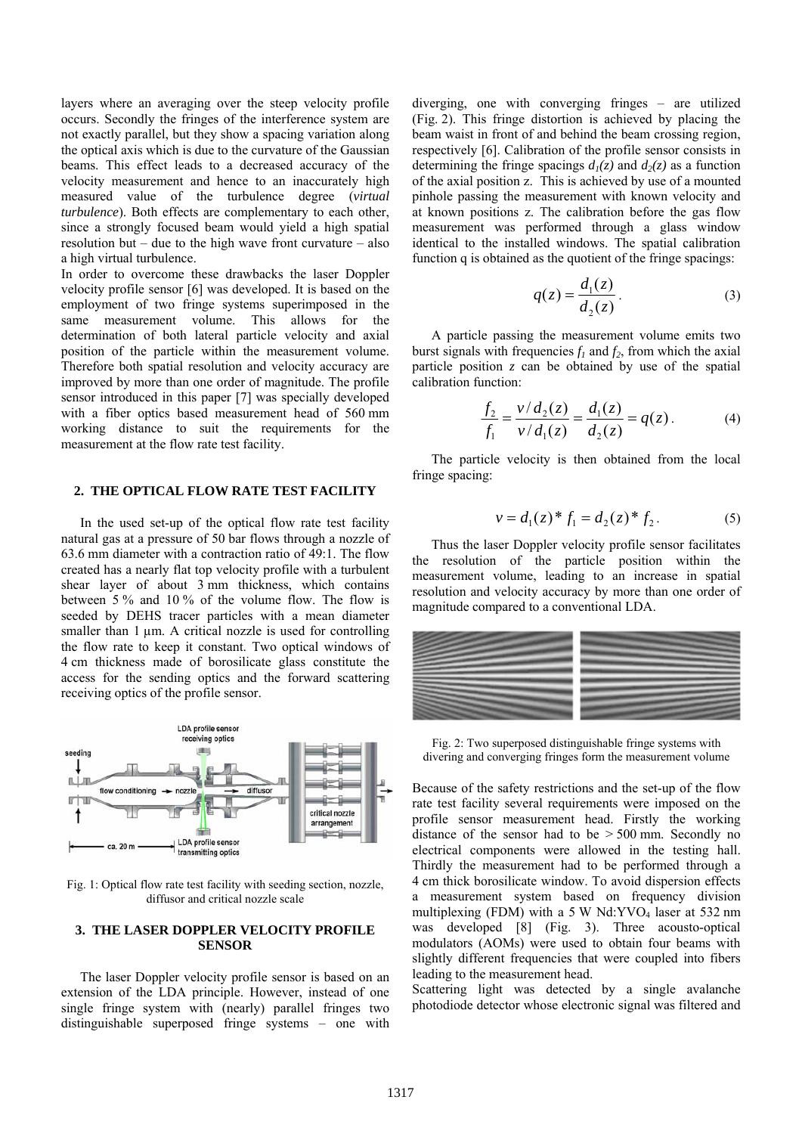layers where an averaging over the steep velocity profile occurs. Secondly the fringes of the interference system are not exactly parallel, but they show a spacing variation along the optical axis which is due to the curvature of the Gaussian beams. This effect leads to a decreased accuracy of the velocity measurement and hence to an inaccurately high measured value of the turbulence degree (*virtual turbulence*). Both effects are complementary to each other, since a strongly focused beam would yield a high spatial resolution but – due to the high wave front curvature – also a high virtual turbulence.

In order to overcome these drawbacks the laser Doppler velocity profile sensor [6] was developed. It is based on the employment of two fringe systems superimposed in the same measurement volume. This allows for the determination of both lateral particle velocity and axial position of the particle within the measurement volume. Therefore both spatial resolution and velocity accuracy are improved by more than one order of magnitude. The profile sensor introduced in this paper [7] was specially developed with a fiber optics based measurement head of 560 mm working distance to suit the requirements for the measurement at the flow rate test facility.

### **2. THE OPTICAL FLOW RATE TEST FACILITY**

In the used set-up of the optical flow rate test facility natural gas at a pressure of 50 bar flows through a nozzle of 63.6 mm diameter with a contraction ratio of 49:1. The flow created has a nearly flat top velocity profile with a turbulent shear layer of about 3 mm thickness, which contains between 5 % and 10 % of the volume flow. The flow is seeded by DEHS tracer particles with a mean diameter smaller than  $1 \mu m$ . A critical nozzle is used for controlling the flow rate to keep it constant. Two optical windows of 4 cm thickness made of borosilicate glass constitute the access for the sending optics and the forward scattering receiving optics of the profile sensor.



Fig. 1: Optical flow rate test facility with seeding section, nozzle, diffusor and critical nozzle scale

## **3. THE LASER DOPPLER VELOCITY PROFILE SENSOR**

The laser Doppler velocity profile sensor is based on an extension of the LDA principle. However, instead of one single fringe system with (nearly) parallel fringes two distinguishable superposed fringe systems – one with diverging, one with converging fringes – are utilized (Fig. 2). This fringe distortion is achieved by placing the beam waist in front of and behind the beam crossing region, respectively [6]. Calibration of the profile sensor consists in determining the fringe spacings  $d_1(z)$  and  $d_2(z)$  as a function of the axial position z. This is achieved by use of a mounted pinhole passing the measurement with known velocity and at known positions z. The calibration before the gas flow measurement was performed through a glass window identical to the installed windows. The spatial calibration function q is obtained as the quotient of the fringe spacings:

$$
q(z) = \frac{d_1(z)}{d_2(z)}.
$$
 (3)

A particle passing the measurement volume emits two burst signals with frequencies  $f_1$  and  $f_2$ , from which the axial particle position *z* can be obtained by use of the spatial calibration function:

$$
\frac{f_2}{f_1} = \frac{v/d_2(z)}{v/d_1(z)} = \frac{d_1(z)}{d_2(z)} = q(z).
$$
 (4)

The particle velocity is then obtained from the local fringe spacing:

$$
v = d_1(z)^* f_1 = d_2(z)^* f_2.
$$
 (5)

Thus the laser Doppler velocity profile sensor facilitates the resolution of the particle position within the measurement volume, leading to an increase in spatial resolution and velocity accuracy by more than one order of magnitude compared to a conventional LDA.



Fig. 2: Two superposed distinguishable fringe systems with divering and converging fringes form the measurement volume

Because of the safety restrictions and the set-up of the flow rate test facility several requirements were imposed on the profile sensor measurement head. Firstly the working distance of the sensor had to be  $> 500$  mm. Secondly no electrical components were allowed in the testing hall. Thirdly the measurement had to be performed through a 4 cm thick borosilicate window. To avoid dispersion effects a measurement system based on frequency division multiplexing (FDM) with a 5 W  $Nd:YVO<sub>4</sub>$  laser at 532 nm was developed [8] (Fig. 3). Three acousto-optical modulators (AOMs) were used to obtain four beams with slightly different frequencies that were coupled into fibers leading to the measurement head.

Scattering light was detected by a single avalanche photodiode detector whose electronic signal was filtered and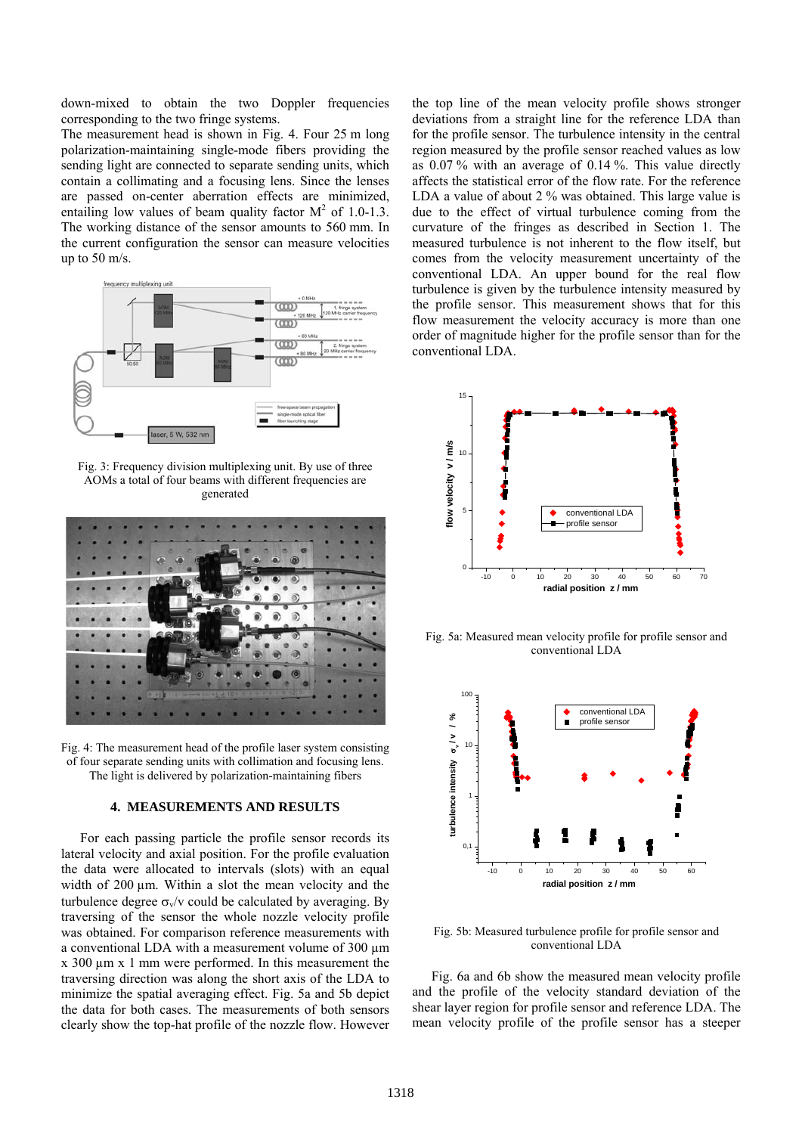down-mixed to obtain the two Doppler frequencies corresponding to the two fringe systems.

The measurement head is shown in Fig. 4. Four 25 m long polarization-maintaining single-mode fibers providing the sending light are connected to separate sending units, which contain a collimating and a focusing lens. Since the lenses are passed on-center aberration effects are minimized, entailing low values of beam quality factor  $M^2$  of 1.0-1.3. The working distance of the sensor amounts to 560 mm. In the current configuration the sensor can measure velocities up to 50 m/s.



Fig. 3: Frequency division multiplexing unit. By use of three AOMs a total of four beams with different frequencies are generated



Fig. 4: The measurement head of the profile laser system consisting of four separate sending units with collimation and focusing lens. The light is delivered by polarization-maintaining fibers

#### **4. MEASUREMENTS AND RESULTS**

For each passing particle the profile sensor records its lateral velocity and axial position. For the profile evaluation the data were allocated to intervals (slots) with an equal width of 200 µm. Within a slot the mean velocity and the turbulence degree  $\sigma_{v}/v$  could be calculated by averaging. By traversing of the sensor the whole nozzle velocity profile was obtained. For comparison reference measurements with a conventional LDA with a measurement volume of 300  $\mu$ m x 300 µm x 1 mm were performed. In this measurement the traversing direction was along the short axis of the LDA to minimize the spatial averaging effect. Fig. 5a and 5b depict the data for both cases. The measurements of both sensors clearly show the top-hat profile of the nozzle flow. However

the top line of the mean velocity profile shows stronger deviations from a straight line for the reference LDA than for the profile sensor. The turbulence intensity in the central region measured by the profile sensor reached values as low as 0.07 % with an average of 0.14 %. This value directly affects the statistical error of the flow rate. For the reference LDA a value of about 2 % was obtained. This large value is due to the effect of virtual turbulence coming from the curvature of the fringes as described in Section 1. The measured turbulence is not inherent to the flow itself, but comes from the velocity measurement uncertainty of the conventional LDA. An upper bound for the real flow turbulence is given by the turbulence intensity measured by the profile sensor. This measurement shows that for this flow measurement the velocity accuracy is more than one order of magnitude higher for the profile sensor than for the conventional LDA.



Fig. 5a: Measured mean velocity profile for profile sensor and conventional LDA



Fig. 5b: Measured turbulence profile for profile sensor and conventional LDA

Fig. 6a and 6b show the measured mean velocity profile and the profile of the velocity standard deviation of the shear layer region for profile sensor and reference LDA. The mean velocity profile of the profile sensor has a steeper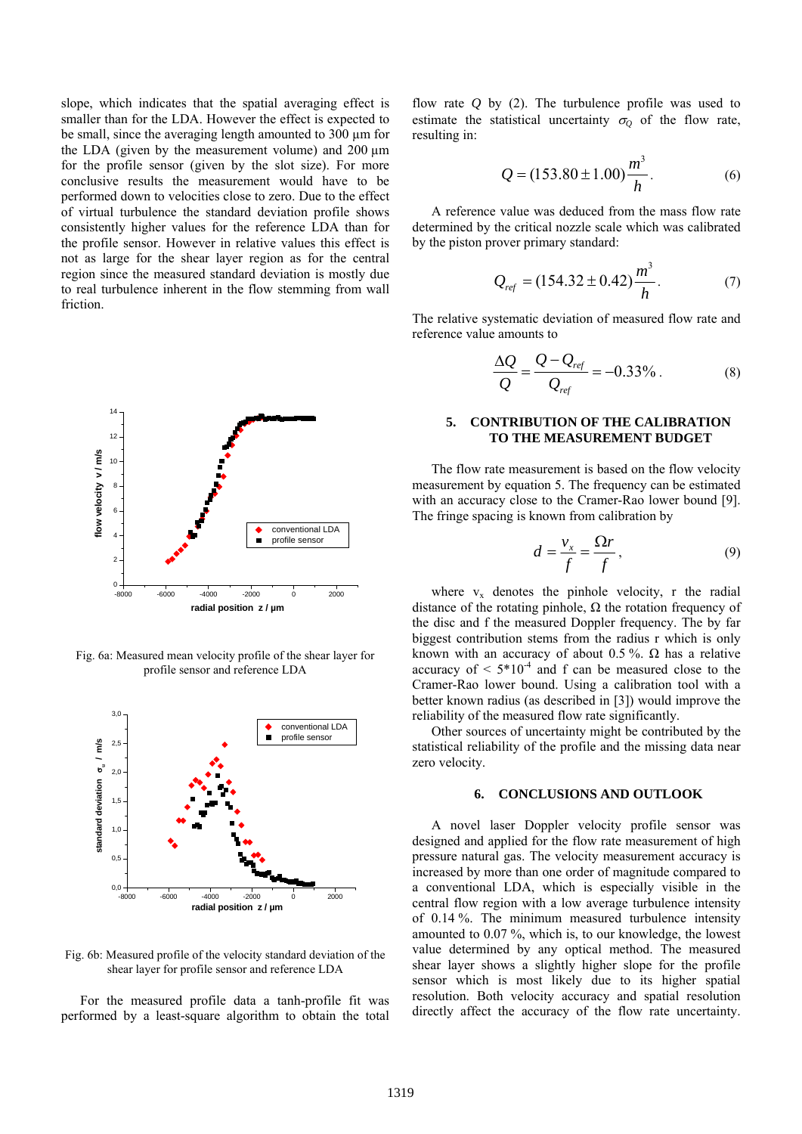slope, which indicates that the spatial averaging effect is smaller than for the LDA. However the effect is expected to be small, since the averaging length amounted to 300 µm for the LDA (given by the measurement volume) and 200 µm for the profile sensor (given by the slot size). For more conclusive results the measurement would have to be performed down to velocities close to zero. Due to the effect of virtual turbulence the standard deviation profile shows consistently higher values for the reference LDA than for the profile sensor. However in relative values this effect is not as large for the shear layer region as for the central region since the measured standard deviation is mostly due to real turbulence inherent in the flow stemming from wall friction.



Fig. 6a: Measured mean velocity profile of the shear layer for profile sensor and reference LDA



Fig. 6b: Measured profile of the velocity standard deviation of the shear layer for profile sensor and reference LDA

For the measured profile data a tanh-profile fit was performed by a least-square algorithm to obtain the total

flow rate *Q* by (2). The turbulence profile was used to estimate the statistical uncertainty  $\sigma$ <sup>0</sup> of the flow rate, resulting in:

$$
Q = (153.80 \pm 1.00) \frac{m^3}{h}.
$$
 (6)

A reference value was deduced from the mass flow rate determined by the critical nozzle scale which was calibrated by the piston prover primary standard:

$$
Q_{ref} = (154.32 \pm 0.42) \frac{m^3}{h}.
$$
 (7)

The relative systematic deviation of measured flow rate and reference value amounts to

$$
\frac{\Delta Q}{Q} = \frac{Q - Q_{ref}}{Q_{ref}} = -0.33\% \,. \tag{8}
$$

# **5. CONTRIBUTION OF THE CALIBRATION TO THE MEASUREMENT BUDGET**

The flow rate measurement is based on the flow velocity measurement by equation 5. The frequency can be estimated with an accuracy close to the Cramer-Rao lower bound [9]. The fringe spacing is known from calibration by

$$
d = \frac{v_x}{f} = \frac{\Omega r}{f},\tag{9}
$$

where  $v_x$  denotes the pinhole velocity, r the radial distance of the rotating pinhole,  $\Omega$  the rotation frequency of the disc and f the measured Doppler frequency. The by far biggest contribution stems from the radius r which is only known with an accuracy of about 0.5 %.  $\Omega$  has a relative accuracy of  $\leq 5*10^{-4}$  and f can be measured close to the Cramer-Rao lower bound. Using a calibration tool with a better known radius (as described in [3]) would improve the reliability of the measured flow rate significantly.

Other sources of uncertainty might be contributed by the statistical reliability of the profile and the missing data near zero velocity.

## **6. CONCLUSIONS AND OUTLOOK**

A novel laser Doppler velocity profile sensor was designed and applied for the flow rate measurement of high pressure natural gas. The velocity measurement accuracy is increased by more than one order of magnitude compared to a conventional LDA, which is especially visible in the central flow region with a low average turbulence intensity of 0.14 %. The minimum measured turbulence intensity amounted to 0.07 %, which is, to our knowledge, the lowest value determined by any optical method. The measured shear layer shows a slightly higher slope for the profile sensor which is most likely due to its higher spatial resolution. Both velocity accuracy and spatial resolution directly affect the accuracy of the flow rate uncertainty.